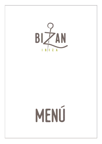BIZAN  $\begin{array}{c|c|c|c|c|c} \hline & B & I & Z & A \end{array}$ 

# MENÚ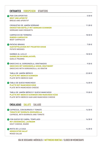| <b>ENTRANTES VORSPEISEN STARTERS</b>                                                        |  |
|---------------------------------------------------------------------------------------------|--|
| <b>BROT UND APERITIF</b><br><b>BREAD AND APERITIF</b>                                       |  |
| <b>KROKETTEN GEFÜLLT MIT SERRANO SCHINKEN</b><br><b>SERRANO HAM CROQUETS</b>                |  |
| <b>RINDER-CARPACCIO</b><br><b>BEEF CARPACCIO</b>                                            |  |
| <b>KARTOFFELECKEN MIT PIKANTER SOSSE</b><br><b>POTATO WEDGES</b>                            |  |
| <b>GARNELEN IN KNOBLAUCHÖL</b><br><b>GARLIC PRAWNS</b>                                      |  |
| GNOCCHIS MIT GORGONZOLA SOSSE, GRATINIERT<br>GNOCCHIS WITH GORGONZOLA, AU GRATIN            |  |
| <b>PLATTE MIT IBERICO SCHINKEN</b><br><b>PLATE WITH IBERICO HAM</b>                         |  |
| <b>PLATTE MIT MANCHEGO KÄSE</b><br><b>PLATE WITH MANCHEGO CHEESE</b>                        |  |
| PLATTE MIT IBERICO SCHINKEN UND MANCHEGO KÄSE<br>PLATE WITH IBERICO HAM AND MANCHEGO CHEESE |  |
| <b>ENSALADAS SALATE SALADS</b>                                                              |  |
| <b>TOMATE MIT BURRATA MOZZARELLA</b><br><b>CAPRESE, WITH BURRATA AND TOMATE</b>             |  |
| <b>MIT ZIEGENKÄSE, LAUWARM</b><br><b>GOUT CHEESE, WARM</b>                                  |  |
| <b>GEMISCHTER SALAT</b><br><b>MIXED SALAD</b>                                               |  |

**día de descanso: Miércoles / MittwochS Ruhetag / Closed on Wednesdays**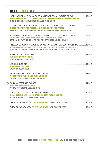# **CARNES FLEISCH MEAT**

| LÁGRIMAS DE POLLO EN SALSA DE CHAMPIÑONES CON PATATAS FRITAS  16.50 €<br>HÄHNCHENGESCHNETZELTES IN RAHM-/CHAMPIGNONSOSSE MIT POMMES FRITES<br><b>CHICKEN STRIPS IN MUSHROOM SAUCE WITH CHIPS</b>                                  |  |
|-----------------------------------------------------------------------------------------------------------------------------------------------------------------------------------------------------------------------------------|--|
| SOLOMILLO DE TERNERA CON SALSA PORTO, VERDURAS Y PATATAS FRITAS  29.50 €<br>RINDERFILET MIT PORTSOSSE, GEMÜSE UND POMMES FRITES<br>BEEF SIRLOIN STEAK IN PORTO SAUCE WITH VEGETABLES AND CHIPS                                    |  |
| STROGANOFF CON ARROZ (TIRAS DE SOLOMILLOS DE TERNERA CON SALSA) 27.50 €<br><b>STROGANOFF MIT REIS (RINDERFILET STREIFEN MIT SOSSE)</b><br><b>STROGANOFF WITH RICE (STRIPS OF BEEF TENDERLOIN IN SAUCE)</b>                        |  |
| MEDALLONES DE SOLOMILLO DE CERDO A LA MOSTAZA ANTIGUA CON PATAS FRITAS 18.00 €<br><b>SCHWEINEFILET MEDAILLONS MIT DIJON-SENFSOSSE UND POMMES FRIES</b><br><b>PORK FILLET MEDALLIONS WITH DIJON MUSTARD SAUCE AND FRENCH FRIES</b> |  |
| POLLO AL CURRY CON ARROZ<br>…………………………………………………………………16.50 €<br><b>HÜHNCHEN CURRY MIT REIS</b><br><b>CHICKEN CURRY WITH RICE</b>                                                                                                  |  |
| LASAÑA BOLOÑESA<br><b>BOLOGNESE LASAGNE</b><br><b>LASAGNA BOLOGNESE</b>                                                                                                                                                           |  |
| WOK MIT RINDFLEISCH, GEMÜSE UND REIS<br>WOK WITH BEEF, VEGETABLES AND RICE                                                                                                                                                        |  |
| <b>WOK MIT GEMÜSE UND REIS</b><br><b>WOK WITH VEGETABLES AND RICE</b>                                                                                                                                                             |  |
| <b>BIZAN HAMBURGER 100% RINDFLEISCH MIT POMMES FRITES</b><br><b>BIZAN BURGER 100% BEEF WITH CHIPS</b>                                                                                                                             |  |
|                                                                                                                                                                                                                                   |  |
|                                                                                                                                                                                                                                   |  |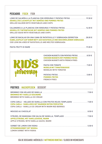| <b>PESCADOS FISCH FISH</b>                     |                                                                                                                                                                                                               |  |                                                                                                                                   |                  |  |  |
|------------------------------------------------|---------------------------------------------------------------------------------------------------------------------------------------------------------------------------------------------------------------|--|-----------------------------------------------------------------------------------------------------------------------------------|------------------|--|--|
|                                                |                                                                                                                                                                                                               |  | <b>GEGRILLTES LACHSFILET MIT GEMÜSE UND POMMES FRITES</b><br><b>GRILLED SALMON WITH VEGETABLES AND CHIPS</b>                      |                  |  |  |
| <b>GRILLED SQUID WITH VEGETABLES AND CHIPS</b> |                                                                                                                                                                                                               |  | <b>GEGRILLTE TINTENFISCHE MIT GEMÜSE UND POMMES FRITES</b>                                                                        |                  |  |  |
|                                                | LOMO DE BACALAO EN UNA CAMA DE RATATOUILLE Y SOBRASADA DERRETIDA 28.00 €<br>KABELJAUFILET AUF EINEM BETT AUS RATATOUILLE UND GESCHMOLZENER SOBRASADA<br>COD LOIN ON A BED OF RATATOUILLE AND MELTED SOBRASADA |  |                                                                                                                                   |                  |  |  |
|                                                |                                                                                                                                                                                                               |  |                                                                                                                                   |                  |  |  |
|                                                |                                                                                                                                                                                                               |  | CHICKEN NUGGETS CON PATATAS FRITAS 8.50 €<br><b>CHICKEN NUGGETS MIT POMMES FRITES</b><br><b>CHICKEN NUGGETS WITH FRENCH FRIES</b> |                  |  |  |
|                                                | mom                                                                                                                                                                                                           |  | <b>NUDELN MIT TOMATENSOSSE</b><br><b>NOODLES WITH TOMATOE</b>                                                                     | $.7.00 \epsilon$ |  |  |
|                                                |                                                                                                                                                                                                               |  | <b>POMMES FRITES</b>                                                                                                              |                  |  |  |

# **POSTRES NACHSPEISEN DESSERT**

| <b>BROWNIE MIT VANILLE-EISCREME</b><br><b>BROWNIE WITH VANILLA ICE CREAM</b>                                     |  |
|------------------------------------------------------------------------------------------------------------------|--|
| <b>COPA CARLA - VANILLEEIS MIT WARMEN ROTEN FRÜCHTEN</b><br>COPA CARLA - VANILLA ICE CREAM WITH WARM RED BERRIES |  |
|                                                                                                                  |  |
| APFELSTRUDEL MIT VANILLESOSSE, WARM<br>APPLE STRUDEL WITH VANILLA SAUCE, WARM                                    |  |
| <b>ZITRONENSORBET MIT WODKA</b><br><b>LEMON SORBET WITH VODKA</b>                                                |  |

**FRENCH FRIES**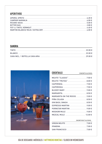# **APERITIVOS**

# **SANGRIA**

| <b>TINTO</b> |  |
|--------------|--|
|              |  |
|              |  |

COCKTAILS



| MARGARITA ON THE ROCKS 9.00 € |  |
|-------------------------------|--|
|                               |  |
|                               |  |
|                               |  |
|                               |  |
|                               |  |
|                               |  |
|                               |  |

## SIN/WITHOUT ALCOHOL

CON/WITH ALCOHOL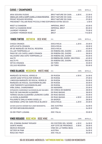# **CAVAS / CHAMPAGNES**

| SINGULAR JUVÉ & CAMPS XARELLO GRAN RESERVA  BRUT NATURE DO CAVA  39.00 € |  |
|--------------------------------------------------------------------------|--|
|                                                                          |  |
|                                                                          |  |
|                                                                          |  |
|                                                                          |  |
|                                                                          |  |
|                                                                          |  |
|                                                                          |  |

### D.O. COPA BOTELLA **VINOS TINTOS ROTWEIN RED WINE**

| AZPILICUETA CRIANZA ……………………………………… DOCA RIOJA ………………………………………… 28.00 € |  |  |
|-------------------------------------------------------------------------|--|--|
|                                                                         |  |  |
|                                                                         |  |  |
| PAGO DE LOS CAPELLANES CRIANZA DO RIBERA DEL DUERO 38.00 €              |  |  |
| VALDUERO UNA CEPA TEMPRANILLO  DO RIBERA DEL DUERO  55.00 €             |  |  |
|                                                                         |  |  |
|                                                                         |  |  |
|                                                                         |  |  |
|                                                                         |  |  |

# **VINOS BLANCOS WEISSWEIN WHITE WINE** D.O.

COPA BOTELLA

| JOSÉ PARIENTE SAUVIGNON BLANC (COLLECTION DO RUEDA (COLLECTION DE 23.00 €          |  |  |
|------------------------------------------------------------------------------------|--|--|
|                                                                                    |  |  |
| INTRAMURS CHARDONNAY SAUVIGNON BLANC MACABEU  DO CONCA DE BABERA  28.00 $\epsilon$ |  |  |
|                                                                                    |  |  |
|                                                                                    |  |  |
|                                                                                    |  |  |
|                                                                                    |  |  |
| HACIENDA LOPEZ DE HARO RIOJA BLANCO  DOCA RIOJA 4.20 €  25.00 €                    |  |  |
|                                                                                    |  |  |
|                                                                                    |  |  |
|                                                                                    |  |  |
|                                                                                    |  |  |
|                                                                                    |  |  |

### COPA BOTELLA **VINOS ROSADOS ROSE WEIN ROSE WINE**

| VOL D'ÀNIMA RAIMAT ROSADO DO COSTERS DEL SEGRE 4.50 €  26.00 € |  |
|----------------------------------------------------------------|--|
|                                                                |  |
|                                                                |  |
|                                                                |  |
|                                                                |  |

**día de descanso: Miércoles / MittwochS Ruhetag / Closed on Wednesdays**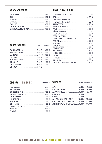# COGNAC/BRANDY

# DIGESTIVOS/LICORES

| GRAPPA SARPA DI POLI 5.20 €           |  |
|---------------------------------------|--|
|                                       |  |
|                                       |  |
|                                       |  |
| RAMAZOTTI ……………………………………… 4.20 €      |  |
|                                       |  |
|                                       |  |
|                                       |  |
|                                       |  |
|                                       |  |
| CAFE CALETA DE LICORES CARRERÓ 4.50 € |  |
|                                       |  |
|                                       |  |
|                                       |  |
|                                       |  |
|                                       |  |
|                                       |  |
|                                       |  |
|                                       |  |
|                                       |  |
| MEZCAL AMORES ESPADIN  9.50 €         |  |

# RONES/VODKAS

COPA COMBINADO

# GINEBRAS GIN TONIC

**COMBINADO** 

| <b>WHISKYS</b>                           | COPA COMBINADO      |
|------------------------------------------|---------------------|
|                                          | $8.00 \text{ } \in$ |
|                                          | 8.00 $\epsilon$     |
| JACK DANIELS N°7 5.80 €                  | 8.50€               |
|                                          |                     |
|                                          |                     |
| JAMESON BLACK LABEL10.00 € 12.00 €       |                     |
| CHIVAS REGAL 12 YEARS  9.00 € 11.00 €    |                     |
| JOHNNIE WALKER BLACK LABEL9.00 € 11.00 € |                     |